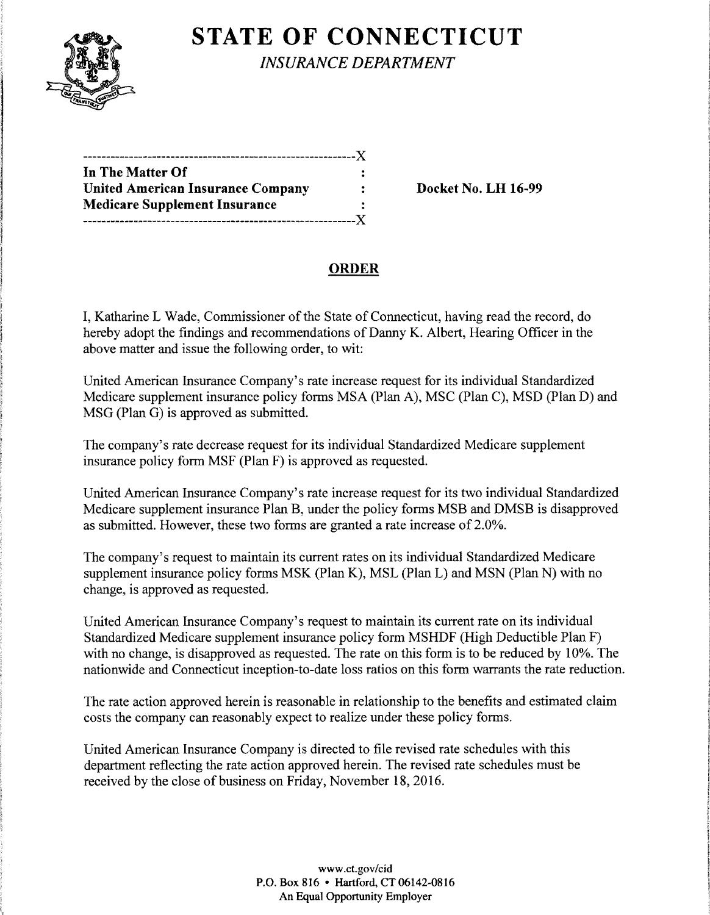

# **STATE OF CONNECTICUT**

*INSURANCE DEPARTMENT* 

| In The Matter Of                         |  |
|------------------------------------------|--|
| <b>United American Insurance Company</b> |  |
| <b>Medicare Supplement Insurance</b>     |  |
|                                          |  |

Docket No. LH 16-99

### ORDER

I, Katharine L Wade, Commissioner of the State of Connecticut, having read the record, do hereby adopt the findings and recommendations of Danny K. Albert, Hearing Officer in the above matter and issue the following order, to wit:

United American Insurance Company's rate increase request for its individual Standardized Medicare supplement insurance policy forms MSA (Plan A), MSC (Plan C), MSD (Plan D) and MSG (Plan G) is approved as submitted.

The company's rate decrease request for its individual Standardized Medicare supplement insurance policy form MSF (Plan F) is approved as requested.

United American Insurance Company's rate increase request for its two individual Standardized Medicare supplement insurance Plan B, under the policy forms MSB and DMSB is disapproved as submitted. However, these two forms are granted a rate increase of 2.0%.

The company's request to maintain its current rates on its individual Standardized Medicare supplement insurance policy forms MSK (Plan K), MSL (Plan L) and MSN (Plan N) with no change, is approved as requested.

United American Insurance Company's request to maintain its current rate on its individual Standardized Medicare supplement insurance policy form MSHDF (High Deductible Plan F) with no change, is disapproved as requested. The rate on this form is to be reduced by 10%. The nationwide and Connecticut inception-to-date loss ratios on this form warrants the rate reduction.

The rate action approved herein is reasonable in relationship to the benefits and estimated claim costs the company can reasonably expect to realize under these policy forms.

United American Insurance Company is directed to file revised rate schedules with this department reflecting the rate action approved herein. The revised rate schedules must be received by the close of business on Friday, November 18,2016.

> www.ct.gov/cid P.O. Box 816 • Hartford, CT 06142-0816 An Equal Opportunity Employer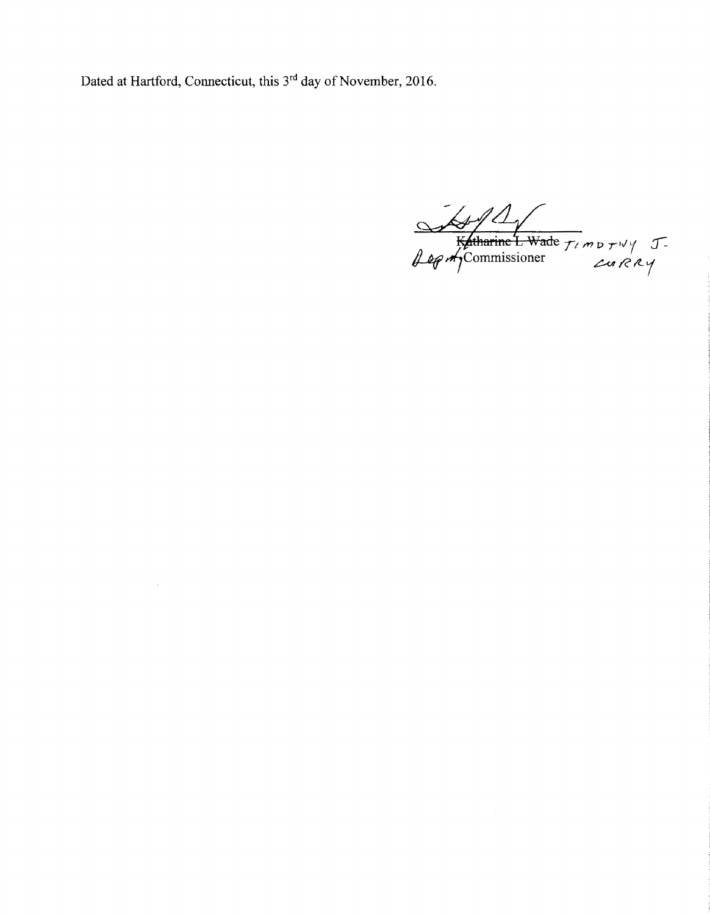Dated at Hartford, Connecticut, this 3<sup>rd</sup> day of November, 2016.

 $\cdot$ 

Katharine L Wade TIMBTWY J-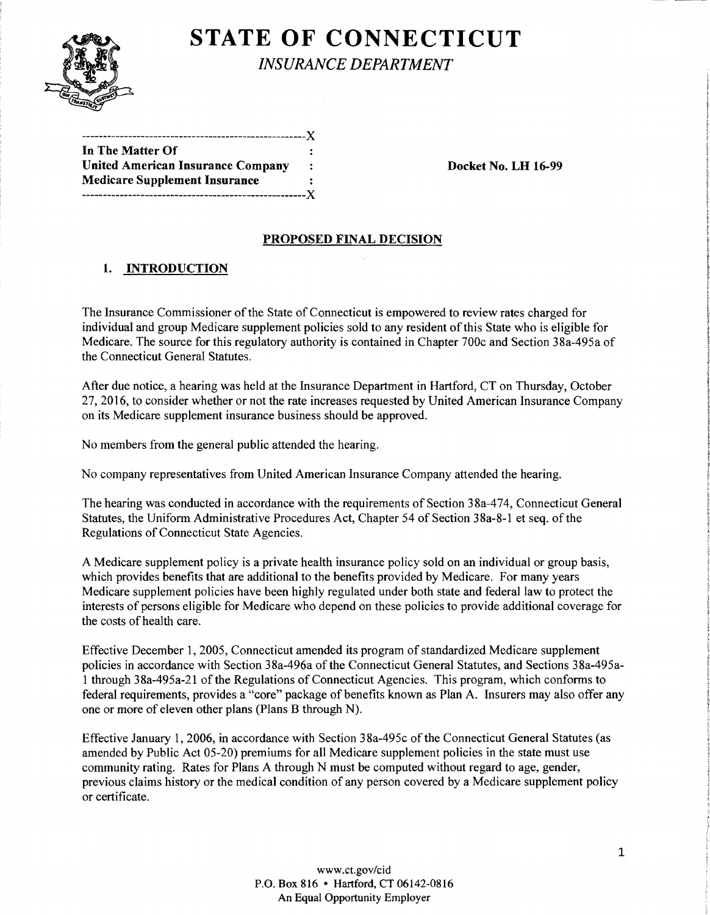

# **STATE OF CONNECTICUT**

*INSURANCE DEPARTMENT* 

| In The Matter Of                         |              |
|------------------------------------------|--------------|
| <b>United American Insurance Company</b> | $\mathbb{Z}$ |
| <b>Medicare Supplement Insurance</b>     |              |
|                                          |              |

Docket No. LH 16-99

### PROPOSED FINAL DECISION

### l. INTRODUCTION

The Insurance Commissioner of the State of Connecticut is empowered to review rates charged for individual and group Medicare supplement policies sold to any resident of this State who is eligible for Medicare. The source for this regulatory authority is contained in Chapter 700c and Section 38a-495a of the Connecticut General Statutes.

After due notice, a hearing was held at the Insurance Department in Hartford, CT on Thursday, October 27,2016, to consider whether or not the rate increases requested by United American Insurance Company on its Medicare supplement insurance business should be approved.

No members from the general public attended the hearing.

No company representatives from United American Insurance Company attended the hearing.

The hearing was conducted in accordance with the requirements of Section 38a-474, Connecticut General Statutes, the Uniform Administrative Procedures Act, Chapter 54 of Section 38a-8-1 et seq. of the Regulations of Connecticut State Agencies.

A Medicare supplement policy is a private health insurance policy sold on an individual or group basis, which provides benefits that are additional to the benefits provided by Medicare. For many years Medicare supplement policies have been highly regulated under both state and federal law to protect the interests of persons eligible for Medicare who depend on these policies to provide additional coverage for the costs of health care.

Effective December 1, 2005, Connecticut amended its program of standardized Medicare supplement policies in accordance with Section 38a-496a of the Connecticut General Statutes, and Sections 38a-495a-1 through 38a-495a-21 of the Regulations of Connecticut Agencies. This program, which conforms to federal requirements, provides a "core" package of benefits known as Plan A. Insurers may also offer any one or more of eleven other plans (Plans B through N).

Effective January 1, 2006, in accordance with Section 38a-495c of the Connecticut General Statutes (as amended by Public Act 05-20) premiums for all Medicare supplement policies in the state must use community rating. Rates for Plans A through N must be computed without regard to age, gender, previous claims history or the medical condition of any person covered by a Medicare supplement policy or certificate.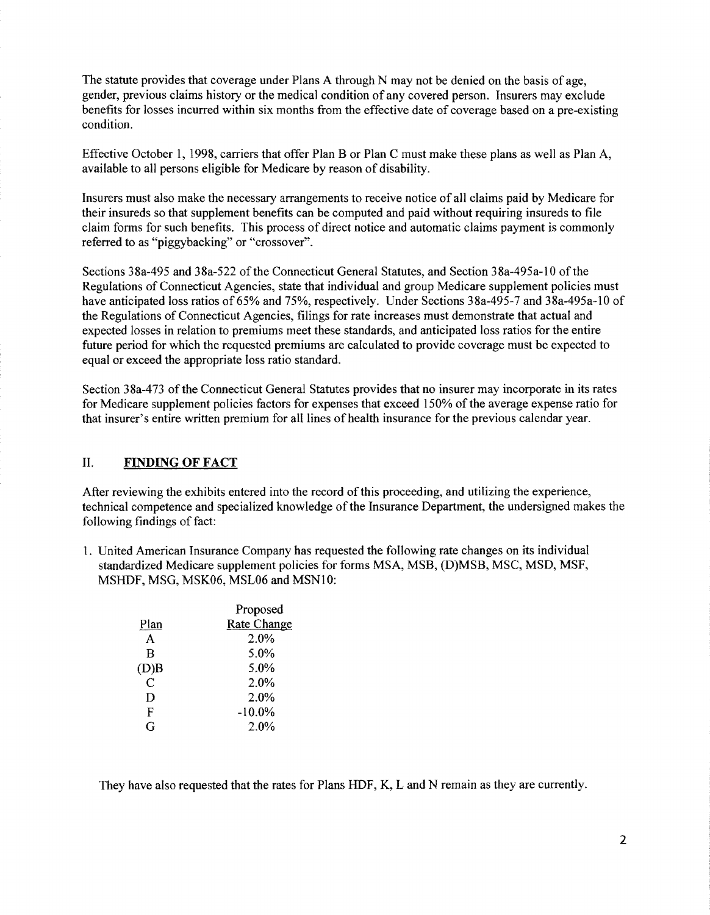The statute provides that coverage under Plans A through N may not be denied on the basis of age, gender, previous claims history or the medical condition of any covered person. Insurers may exclude benefits for losses incurred within six months from the effective date of coverage based on a pre-existing condition.

Effective October I, 1998, carriers that offer Plan B or Plan C must make these plans as well as Plan A, available to all persons eligible for Medicare by reason of disability.

Insurers must also make the necessary arrangements to receive notice of all claims paid by Medicare for their insureds so that supplement benefits can be computed and paid without requiring insureds to file claim forms for such benefits. This process of direct notice and automatic claims payment is commonly referred to as "piggybacking" or "crossover".

Sections 38a-495 and 38a-522 of the Connecticut General Statutes, and Section 38a-495a-10 of the Regulations of Connecticut Agencies, state that individual and group Medicare supplement policies must have anticipated loss ratios of 65% and 75%, respectively. Under Sections 38a-495-7 and 38a-495a-10 of the Regulations of Connecticut Agencies, filings for rate increases must demonstrate that actual and expected losses in relation to premiums meet these standards, and anticipated loss ratios for the entire future period for which the requested premiums are calculated to provide coverage must be expected to equal or exceed the appropriate loss ratio standard.

Section 38a-473 of the Connecticut General Statutes provides that no insurer may incorporate in its rates for Medicare supplement policies factors for expenses that exceed 150% of the average expense ratio for that insurer's entire written premium for all lines of health insurance for the previous calendar year.

#### **II. FINDING OF FACT**

After reviewing the exhibits entered into the record of this proceeding, and utilizing the experience, technical competence and specialized knowledge of the Insurance Department, the undersigned makes the following findings of fact:

1. United American Insurance Company has requested the following rate changes on its individual standardized Medicare supplement policies for forms MSA, MSB, (D)MSB, MSC, MSD, MSF, MSHDF, MSG, MSK06, MSL06 and MSNlO:

|      | Proposed           |  |
|------|--------------------|--|
| Plan | <b>Rate Change</b> |  |
| A    | 2.0%               |  |
| B    | 5.0%               |  |
| (D)B | 5.0%               |  |
| C    | 2.0%               |  |
| D    | 2.0%               |  |
| F    | $-10.0\%$          |  |
| G    | 2.0%               |  |
|      |                    |  |

They have also requested that the rates for Plans HDF, K, Land N remain as they are currently.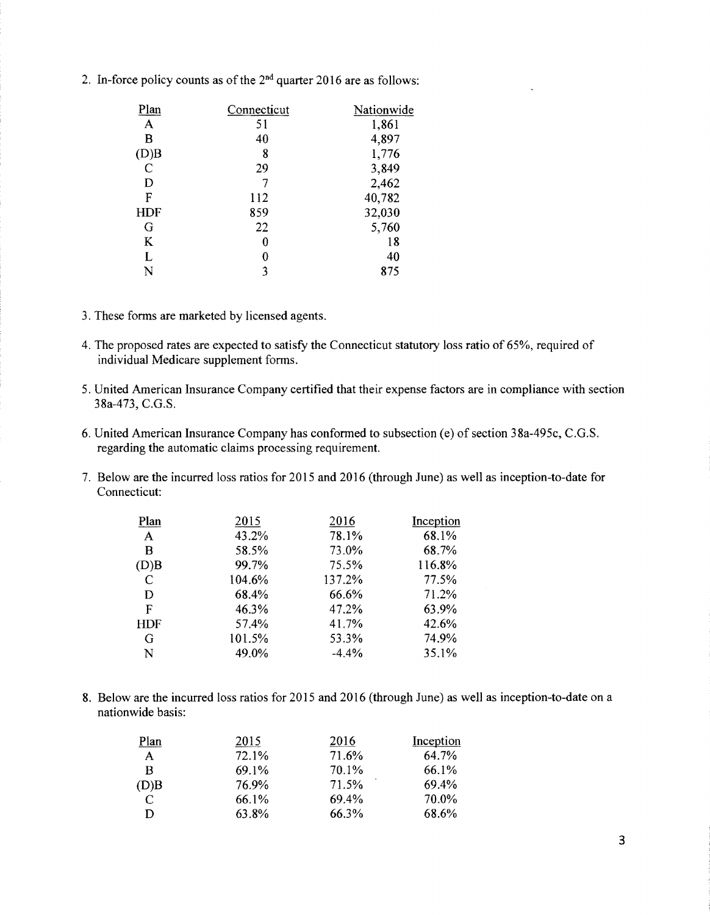2. In-force policy counts as of the  $2<sup>nd</sup>$  quarter 2016 are as follows:

| Connecticut | Nationwide |
|-------------|------------|
| 51          | 1,861      |
| 40          | 4,897      |
| 8           | 1,776      |
| 29          | 3,849      |
|             | 2,462      |
| 112         | 40,782     |
| 859         | 32,030     |
| 22          | 5,760      |
| 0           | 18         |
| 0           | 40         |
| 3           | 875        |
|             |            |

- 3. These forms are marketed by licensed agents.
- 4. The proposed rates are expected to satisfy the Connecticut statutory loss ratio of 65%, required of individual Medicare supplement forms.
- 5. United American Insurance Company certified that their expense factors are in compliance with section 38a-473, C.G.S.
- 6. United American Insurance Company has conformed to subsection (e) of section 3 8a-495c, C.G.S. regarding the automatic claims processing requirement.
- 7. Below are the incurred loss ratios for 2015 and 2016 (through June) as well as inception-to-date for Connecticut:

| Plan         | 2015   | 2016    | Inception |
|--------------|--------|---------|-----------|
| A            | 43.2%  | 78.1%   | 68.1%     |
| B            | 58.5%  | 73.0%   | 68.7%     |
| (D)B         | 99.7%  | 75.5%   | 116.8%    |
| $\mathsf{C}$ | 104.6% | 137.2%  | 77.5%     |
| D            | 68.4%  | 66.6%   | 71.2%     |
| F            | 46.3%  | 47.2%   | 63.9%     |
| <b>HDF</b>   | 57.4%  | 41.7%   | 42.6%     |
| G            | 101.5% | 53.3%   | 74.9%     |
| N            | 49.0%  | $-4.4%$ | 35.1%     |

8. Below are the incurred loss ratios for 2015 and 2016 (through June) as well as inception-to-date on a nationwide basis:

| Plan | 2015  | 2016  | Inception |
|------|-------|-------|-----------|
| A    | 72.1% | 71.6% | 64.7%     |
| B    | 69.1% | 70.1% | 66.1%     |
| (D)B | 76.9% | 71.5% | 69.4%     |
| C    | 66.1% | 69.4% | 70.0%     |
| D    | 63.8% | 66.3% | 68.6%     |